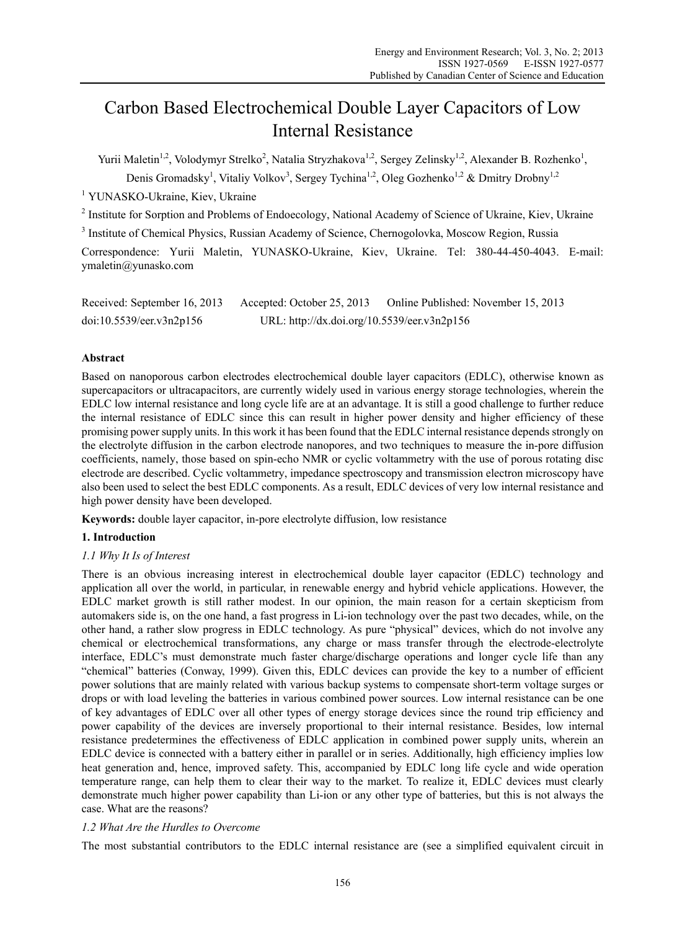# Carbon Based Electrochemical Double Layer Capacitors of Low Internal Resistance

Yurii Maletin<sup>1,2</sup>, Volodymyr Strelko<sup>2</sup>, Natalia Stryzhakova<sup>1,2</sup>, Sergey Zelinsky<sup>1,2</sup>, Alexander B. Rozhenko<sup>1</sup>,

Denis Gromadsky<sup>1</sup>, Vitaliy Volkov<sup>3</sup>, Sergey Tychina<sup>1,2</sup>, Oleg Gozhenko<sup>1,2</sup> & Dmitry Drobny<sup>1,2</sup>

<sup>1</sup> YUNASKO-Ukraine, Kiev, Ukraine

<sup>2</sup> Institute for Sorption and Problems of Endoecology, National Academy of Science of Ukraine, Kiev, Ukraine

<sup>3</sup> Institute of Chemical Physics, Russian Academy of Science, Chernogolovka, Moscow Region, Russia

Correspondence: Yurii Maletin, YUNASKO-Ukraine, Kiev, Ukraine. Tel: 380-44-450-4043. E-mail: ymaletin@yunasko.com

Received: September 16, 2013 Accepted: October 25, 2013 Online Published: November 15, 2013 doi:10.5539/eer.v3n2p156 URL: http://dx.doi.org/10.5539/eer.v3n2p156

# **Abstract**

Based on nanoporous carbon electrodes electrochemical double layer capacitors (EDLC), otherwise known as supercapacitors or ultracapacitors, are currently widely used in various energy storage technologies, wherein the EDLC low internal resistance and long cycle life are at an advantage. It is still a good challenge to further reduce the internal resistance of EDLC since this can result in higher power density and higher efficiency of these promising power supply units. In this work it has been found that the EDLC internal resistance depends strongly on the electrolyte diffusion in the carbon electrode nanopores, and two techniques to measure the in-pore diffusion coefficients, namely, those based on spin-echo NMR or cyclic voltammetry with the use of porous rotating disc electrode are described. Cyclic voltammetry, impedance spectroscopy and transmission electron microscopy have also been used to select the best EDLC components. As a result, EDLC devices of very low internal resistance and high power density have been developed.

**Keywords:** double layer capacitor, in-pore electrolyte diffusion, low resistance

# **1. Introduction**

# *1.1 Why It Is of Interest*

There is an obvious increasing interest in electrochemical double layer capacitor (EDLC) technology and application all over the world, in particular, in renewable energy and hybrid vehicle applications. However, the EDLC market growth is still rather modest. In our opinion, the main reason for a certain skepticism from automakers side is, on the one hand, a fast progress in Li-ion technology over the past two decades, while, on the other hand, a rather slow progress in EDLC technology. As pure "physical" devices, which do not involve any chemical or electrochemical transformations, any charge or mass transfer through the electrode-electrolyte interface, EDLC's must demonstrate much faster charge/discharge operations and longer cycle life than any "chemical" batteries (Conway, 1999). Given this, EDLC devices can provide the key to a number of efficient power solutions that are mainly related with various backup systems to compensate short-term voltage surges or drops or with load leveling the batteries in various combined power sources. Low internal resistance can be one of key advantages of EDLC over all other types of energy storage devices since the round trip efficiency and power capability of the devices are inversely proportional to their internal resistance. Besides, low internal resistance predetermines the effectiveness of EDLC application in combined power supply units, wherein an EDLC device is connected with a battery either in parallel or in series. Additionally, high efficiency implies low heat generation and, hence, improved safety. This, accompanied by EDLC long life cycle and wide operation temperature range, can help them to clear their way to the market. To realize it, EDLC devices must clearly demonstrate much higher power capability than Li-ion or any other type of batteries, but this is not always the case. What are the reasons?

# *1.2 What Are the Hurdles to Overcome*

The most substantial contributors to the EDLC internal resistance are (see a simplified equivalent circuit in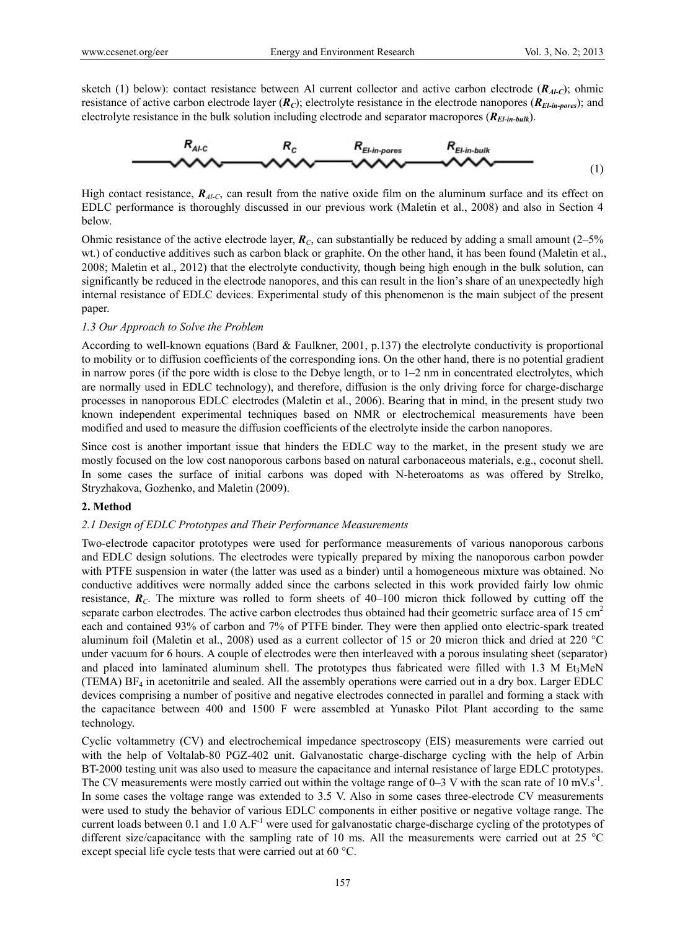sketch (1) below): contact resistance between Al current collector and active carbon electrode ( $R_{A\ell-C}$ ); ohmic resistance of active carbon electrode layer  $(R_C)$ ; electrolyte resistance in the electrode nanopores  $(R_{E\mid in\text{-}ores})$ ; and electrolyte resistance in the bulk solution including electrode and separator macropores  $(R_{E\mid in\text{-}bulk})$ .



High contact resistance,  $R_{A/C}$ , can result from the native oxide film on the aluminum surface and its effect on EDLC performance is thoroughly discussed in our previous work (Maletin et al., 2008) and also in Section 4 below.

Ohmic resistance of the active electrode layer,  $\mathbf{R}_C$ , can substantially be reduced by adding a small amount (2–5%) wt.) of conductive additives such as carbon black or graphite. On the other hand, it has been found (Maletin et al., 2008; Maletin et al., 2012) that the electrolyte conductivity, though being high enough in the bulk solution, can significantly be reduced in the electrode nanopores, and this can result in the lion's share of an unexpectedly high internal resistance of EDLC devices. Experimental study of this phenomenon is the main subject of the present paper.

## *1.3 Our Approach to Solve the Problem*

According to well-known equations (Bard & Faulkner, 2001, p.137) the electrolyte conductivity is proportional to mobility or to diffusion coefficients of the corresponding ions. On the other hand, there is no potential gradient in narrow pores (if the pore width is close to the Debye length, or to 1–2 nm in concentrated electrolytes, which are normally used in EDLC technology), and therefore, diffusion is the only driving force for charge-discharge processes in nanoporous EDLC electrodes (Maletin et al., 2006). Bearing that in mind, in the present study two known independent experimental techniques based on NMR or electrochemical measurements have been modified and used to measure the diffusion coefficients of the electrolyte inside the carbon nanopores.

Since cost is another important issue that hinders the EDLC way to the market, in the present study we are mostly focused on the low cost nanoporous carbons based on natural carbonaceous materials, e.g., coconut shell. In some cases the surface of initial carbons was doped with N-heteroatoms as was offered by Strelko, Stryzhakova, Gozhenko, and Maletin (2009).

#### **2. Method**

## *2.1 Design of EDLC Prototypes and Their Performance Measurements*

Two-electrode capacitor prototypes were used for performance measurements of various nanoporous carbons and EDLC design solutions. The electrodes were typically prepared by mixing the nanoporous carbon powder with PTFE suspension in water (the latter was used as a binder) until a homogeneous mixture was obtained. No conductive additives were normally added since the carbons selected in this work provided fairly low ohmic resistance,  $\mathbf{R}_C$ . The mixture was rolled to form sheets of 40–100 micron thick followed by cutting off the separate carbon electrodes. The active carbon electrodes thus obtained had their geometric surface area of  $15 \text{ cm}^2$ each and contained 93% of carbon and 7% of PTFE binder. They were then applied onto electric-spark treated aluminum foil (Maletin et al., 2008) used as a current collector of 15 or 20 micron thick and dried at 220  $^{\circ}$ C under vacuum for 6 hours. A couple of electrodes were then interleaved with a porous insulating sheet (separator) and placed into laminated aluminum shell. The prototypes thus fabricated were filled with 1.3 M Et<sub>3</sub>MeN (TEMA)  $BF_4$  in acetonitrile and sealed. All the assembly operations were carried out in a dry box. Larger EDLC devices comprising a number of positive and negative electrodes connected in parallel and forming a stack with the capacitance between 400 and 1500 F were assembled at Yunasko Pilot Plant according to the same technology.

Cyclic voltammetry (CV) and electrochemical impedance spectroscopy (EIS) measurements were carried out with the help of Voltalab-80 PGZ-402 unit. Galvanostatic charge-discharge cycling with the help of Arbin BT-2000 testing unit was also used to measure the capacitance and internal resistance of large EDLC prototypes. The CV measurements were mostly carried out within the voltage range of  $0-3$  V with the scan rate of 10 mV.s<sup>-1</sup>. In some cases the voltage range was extended to 3.5 V. Also in some cases three-electrode CV measurements were used to study the behavior of various EDLC components in either positive or negative voltage range. The current loads between 0.1 and 1.0 A.F<sup>-1</sup> were used for galvanostatic charge-discharge cycling of the prototypes of different size/capacitance with the sampling rate of 10 ms. All the measurements were carried out at 25  $^{\circ}$ C except special life cycle tests that were carried out at 60 °C.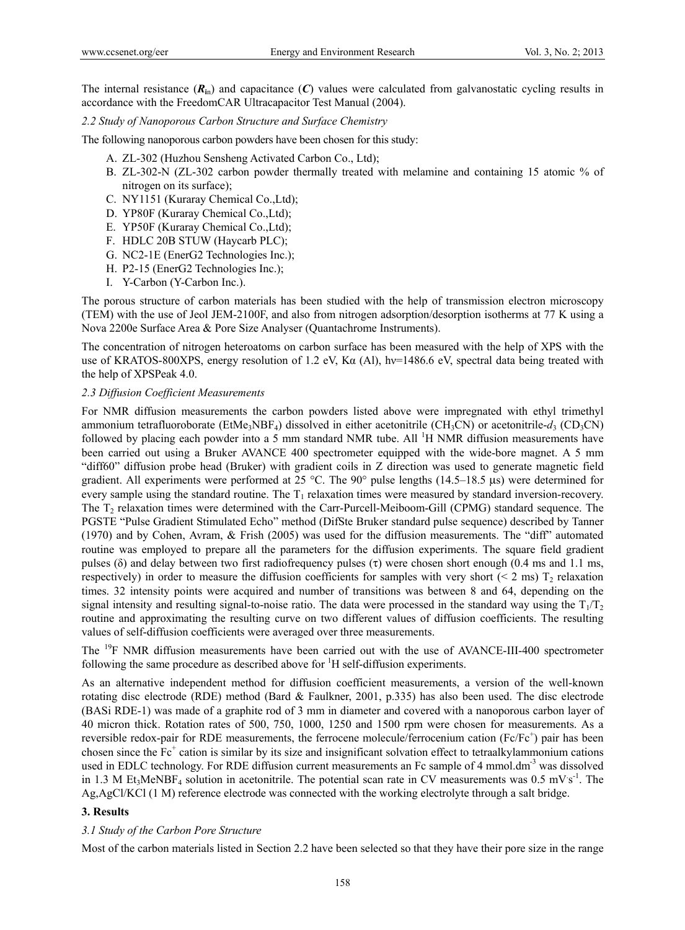The internal resistance  $(R_{in})$  and capacitance  $(C)$  values were calculated from galvanostatic cycling results in accordance with the FreedomCAR Ultracapacitor Test Manual (2004).

*2.2 Study of Nanoporous Carbon Structure and Surface Chemistry*

The following nanoporous carbon powders have been chosen for this study:

- A. ZL-302 (Huzhou Sensheng Activated Carbon Co., Ltd);
- B. ZL-302-N (ZL-302 carbon powder thermally treated with melamine and containing 15 atomic % of nitrogen on its surface);
- C. NY1151 (Kuraray Chemical Co.,Ltd);
- D. YP80F (Kuraray Chemical Co.,Ltd);
- E. YP50F (Kuraray Chemical Co.,Ltd);
- F. HDLC 20B STUW (Haycarb PLC);
- G. NC2-1E (EnerG2 Technologies Inc.);
- H. P2-15 (EnerG2 Technologies Inc.);
- I. Y-Carbon (Y-Carbon Inc.).

The porous structure of carbon materials has been studied with the help of transmission electron microscopy (TEM) with the use of Jeol JEM-2100F, and also from nitrogen adsorption/desorption isotherms at 77 K using a Nova 2200e Surface Area & Pore Size Analyser (Quantachrome Instruments).

The concentration of nitrogen heteroatoms on carbon surface has been measured with the help of XPS with the use of KRATOS-800XPS, energy resolution of 1.2 eV, Κα (Al), hν=1486.6 eV, spectral data being treated with the help of XPSPeak 4.0.

#### *2.3 Diffusion Coefficient Measurements*

For NMR diffusion measurements the carbon powders listed above were impregnated with ethyl trimethyl ammonium tetrafluoroborate (EtMe<sub>3</sub>NBF<sub>4</sub>) dissolved in either acetonitrile (CH<sub>3</sub>CN) or acetonitrile- $d_3$  (CD<sub>3</sub>CN) followed by placing each powder into a 5 mm standard NMR tube. All  $^1$ H NMR diffusion measurements have been carried out using a Bruker AVANCE 400 spectrometer equipped with the wide-bore magnet. A 5 mm "diff60" diffusion probe head (Bruker) with gradient coils in Z direction was used to generate magnetic field gradient. All experiments were performed at 25 °C. The 90° pulse lengths (14.5–18.5  $\mu$ s) were determined for every sample using the standard routine. The  $T_1$  relaxation times were measured by standard inversion-recovery. The T<sub>2</sub> relaxation times were determined with the Carr-Purcell-Meiboom-Gill (CPMG) standard sequence. The PGSTE "Pulse Gradient Stimulated Echo" method (DifSte Bruker standard pulse sequence) described by Tanner (1970) and by Cohen, Avram, & Frish (2005) was used for the diffusion measurements. The "diff" automated routine was employed to prepare all the parameters for the diffusion experiments. The square field gradient pulses ( $\delta$ ) and delay between two first radiofrequency pulses ( $\tau$ ) were chosen short enough (0.4 ms and 1.1 ms, respectively) in order to measure the diffusion coefficients for samples with very short ( $\leq$  2 ms) T<sub>2</sub> relaxation times. 32 intensity points were acquired and number of transitions was between 8 and 64, depending on the signal intensity and resulting signal-to-noise ratio. The data were processed in the standard way using the  $T_1/T_2$ routine and approximating the resulting curve on two different values of diffusion coefficients. The resulting values of self-diffusion coefficients were averaged over three measurements.

The <sup>19</sup>F NMR diffusion measurements have been carried out with the use of AVANCE-III-400 spectrometer following the same procedure as described above for  ${}^{1}H$  self-diffusion experiments.

As an alternative independent method for diffusion coefficient measurements, a version of the well-known rotating disc electrode (RDE) method (Bard & Faulkner, 2001, p.335) has also been used. The disc electrode (BASi RDE-1) was made of a graphite rod of 3 mm in diameter and covered with a nanoporous carbon layer of 40 micron thick. Rotation rates of 500, 750, 1000, 1250 and 1500 rpm were chosen for measurements. As a reversible redox-pair for RDE measurements, the ferrocene molecule/ferrocenium cation (Fc/Fc<sup>+</sup>) pair has been chosen since the  $Fc^+$  cation is similar by its size and insignificant solvation effect to tetraalkylammonium cations used in EDLC technology. For RDE diffusion current measurements an Fc sample of 4 mmol.dm<sup>-3</sup> was dissolved in 1.3 M Et<sub>3</sub>MeNBF<sub>4</sub> solution in acetonitrile. The potential scan rate in CV measurements was  $0.5 \text{ mV s}^{-1}$ . The Ag,AgCl/KCl (1 M) reference electrode was connected with the working electrolyte through a salt bridge.

#### **3. Results**

#### *3.1 Study of the Carbon Pore Structure*

Most of the carbon materials listed in Section 2.2 have been selected so that they have their pore size in the range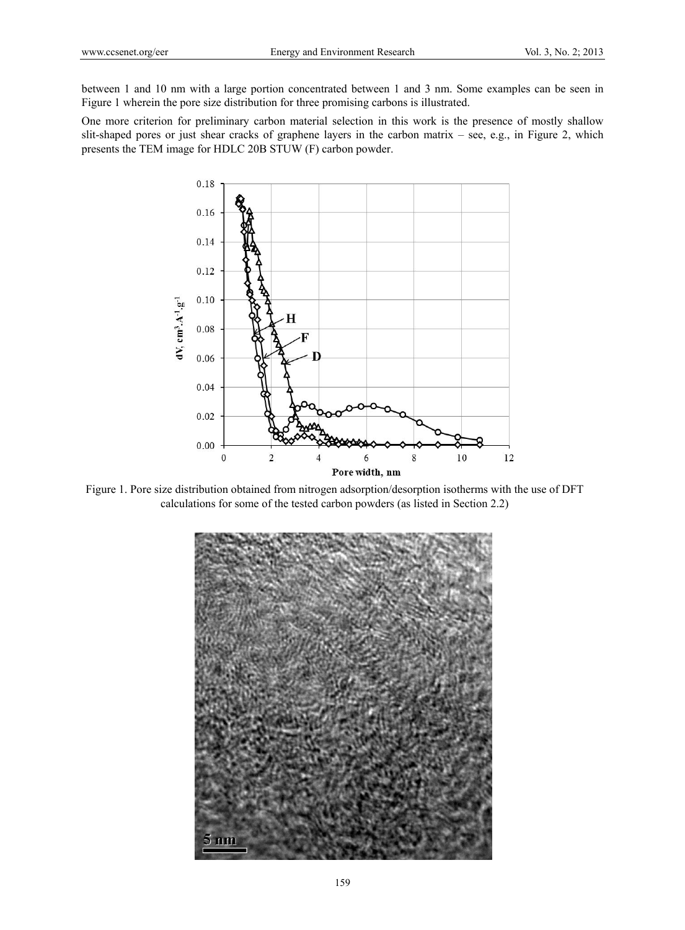between 1 and 10 nm with a large portion concentrated between 1 and 3 nm. Some examples can be seen in Figure 1 wherein the pore size distribution for three promising carbons is illustrated.

One more criterion for preliminary carbon material selection in this work is the presence of mostly shallow slit-shaped pores or just shear cracks of graphene layers in the carbon matrix – see, e.g., in Figure 2, which presents the TEM image for HDLC 20B STUW (F) carbon powder.



Figure 1. Pore size distribution obtained from nitrogen adsorption/desorption isotherms with the use of DFT calculations for some of the tested carbon powders (as listed in Section 2.2)

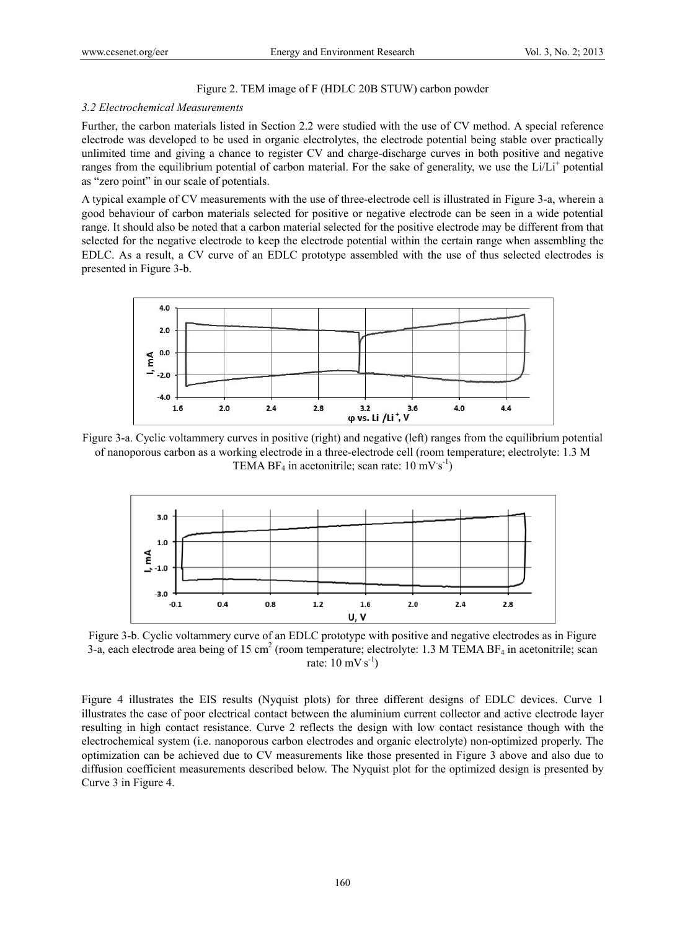## Figure 2. TEM image of F (HDLC 20B STUW) carbon powder

#### *3.2 Electrochemical Measurements*

Further, the carbon materials listed in Section 2.2 were studied with the use of CV method. A special reference electrode was developed to be used in organic electrolytes, the electrode potential being stable over practically unlimited time and giving a chance to register CV and charge-discharge curves in both positive and negative ranges from the equilibrium potential of carbon material. For the sake of generality, we use the  $Li/L<sup>+</sup>$  potential as "zero point" in our scale of potentials.

A typical example of CV measurements with the use of three-electrode cell is illustrated in Figure 3-a, wherein a good behaviour of carbon materials selected for positive or negative electrode can be seen in a wide potential range. It should also be noted that a carbon material selected for the positive electrode may be different from that selected for the negative electrode to keep the electrode potential within the certain range when assembling the EDLC. As a result, a CV curve of an EDLC prototype assembled with the use of thus selected electrodes is presented in Figure 3-b.



Figure 3-a. Cyclic voltammery curves in positive (right) and negative (left) ranges from the equilibrium potential of nanoporous carbon as a working electrode in a three-electrode cell (room temperature; electrolyte: 1.3 M TEMA BF<sub>4</sub> in acetonitrile; scan rate:  $10 \text{ mV s}^{-1}$ )



Figure 3-b. Cyclic voltammery curve of an EDLC prototype with positive and negative electrodes as in Figure 3-a, each electrode area being of 15 cm<sup>2</sup> (room temperature; electrolyte: 1.3 M TEMA BF<sub>4</sub> in acetonitrile; scan rate:  $10 \text{ mV} \text{ s}^{-1}$ )

Figure 4 illustrates the EIS results (Nyquist plots) for three different designs of EDLC devices. Curve 1 illustrates the case of poor electrical contact between the aluminium current collector and active electrode layer resulting in high contact resistance. Curve 2 reflects the design with low contact resistance though with the electrochemical system (i.e. nanoporous carbon electrodes and organic electrolyte) non-optimized properly. The optimization can be achieved due to CV measurements like those presented in Figure 3 above and also due to diffusion coefficient measurements described below. The Nyquist plot for the optimized design is presented by Curve 3 in Figure 4.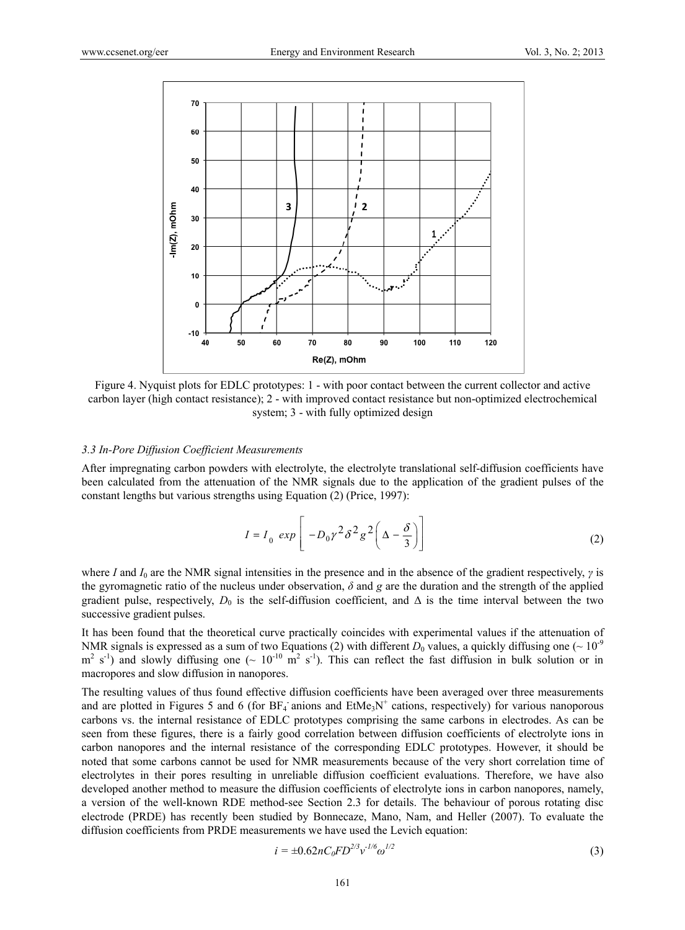

Figure 4. Nyquist plots for EDLC prototypes: 1 - with poor contact between the current collector and active carbon layer (high contact resistance); 2 - with improved contact resistance but non-optimized electrochemical system; 3 - with fully optimized design

#### *3.3 In-Pore Diffusion Coefficient Measurements*

After impregnating carbon powders with electrolyte, the electrolyte translational self-diffusion coefficients have been calculated from the attenuation of the NMR signals due to the application of the gradient pulses of the constant lengths but various strengths using Equation (2) (Price, 1997):

$$
I = I_0 \exp\left[-D_0 \gamma^2 \delta^2 g^2 \left(\Delta - \frac{\delta}{3}\right)\right]
$$
 (2)

where *I* and *I*0 are the NMR signal intensities in the presence and in the absence of the gradient respectively, *γ* is the gyromagnetic ratio of the nucleus under observation, *δ* and *g* are the duration and the strength of the applied gradient pulse, respectively,  $D_0$  is the self-diffusion coefficient, and  $\Delta$  is the time interval between the two successive gradient pulses.

It has been found that the theoretical curve practically coincides with experimental values if the attenuation of NMR signals is expressed as a sum of two Equations (2) with different  $D_0$  values, a quickly diffusing one ( $\sim 10^{-9}$ )  $m^2$  s<sup>-1</sup>) and slowly diffusing one ( $\sim 10^{-10}$  m<sup>2</sup> s<sup>-1</sup>). This can reflect the fast diffusion in bulk solution or in macropores and slow diffusion in nanopores.

The resulting values of thus found effective diffusion coefficients have been averaged over three measurements and are plotted in Figures 5 and 6 (for  $BF_4$  anions and  $EtMe<sub>3</sub>N<sup>+</sup>$  cations, respectively) for various nanoporous carbons vs. the internal resistance of EDLC prototypes comprising the same carbons in electrodes. As can be seen from these figures, there is a fairly good correlation between diffusion coefficients of electrolyte ions in carbon nanopores and the internal resistance of the corresponding EDLC prototypes. However, it should be noted that some carbons cannot be used for NMR measurements because of the very short correlation time of electrolytes in their pores resulting in unreliable diffusion coefficient evaluations. Therefore, we have also developed another method to measure the diffusion coefficients of electrolyte ions in carbon nanopores, namely, a version of the well-known RDE method-see Section 2.3 for details. The behaviour of porous rotating disc electrode (PRDE) has recently been studied by Bonnecaze, Mano, Nam, and Heller (2007). To evaluate the diffusion coefficients from PRDE measurements we have used the Levich equation:

$$
i = \pm 0.62nC_0FD^{2/3}v^{1/6}\omega^{1/2}
$$
 (3)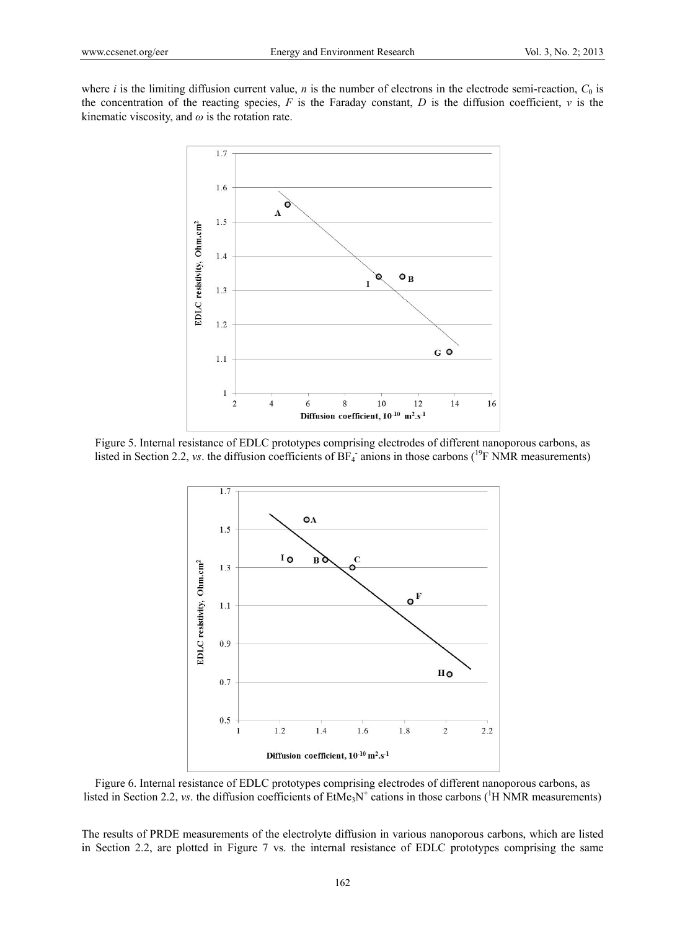where *i* is the limiting diffusion current value, *n* is the number of electrons in the electrode semi-reaction,  $C_0$  is the concentration of the reacting species,  $F$  is the Faraday constant,  $D$  is the diffusion coefficient,  $\nu$  is the kinematic viscosity, and  $\omega$  is the rotation rate.



Figure 5. Internal resistance of EDLC prototypes comprising electrodes of different nanoporous carbons, as listed in Section 2.2, *vs*. the diffusion coefficients of  $BF_4$  anions in those carbons (<sup>19</sup>F NMR measurements)



Figure 6. Internal resistance of EDLC prototypes comprising electrodes of different nanoporous carbons, as listed in Section 2.2, *vs*. the diffusion coefficients of  $EtMe<sub>3</sub>N<sup>+</sup>$  cations in those carbons (<sup>1</sup>H NMR measurements)

The results of PRDE measurements of the electrolyte diffusion in various nanoporous carbons, which are listed in Section 2.2, are plotted in Figure 7 vs. the internal resistance of EDLC prototypes comprising the same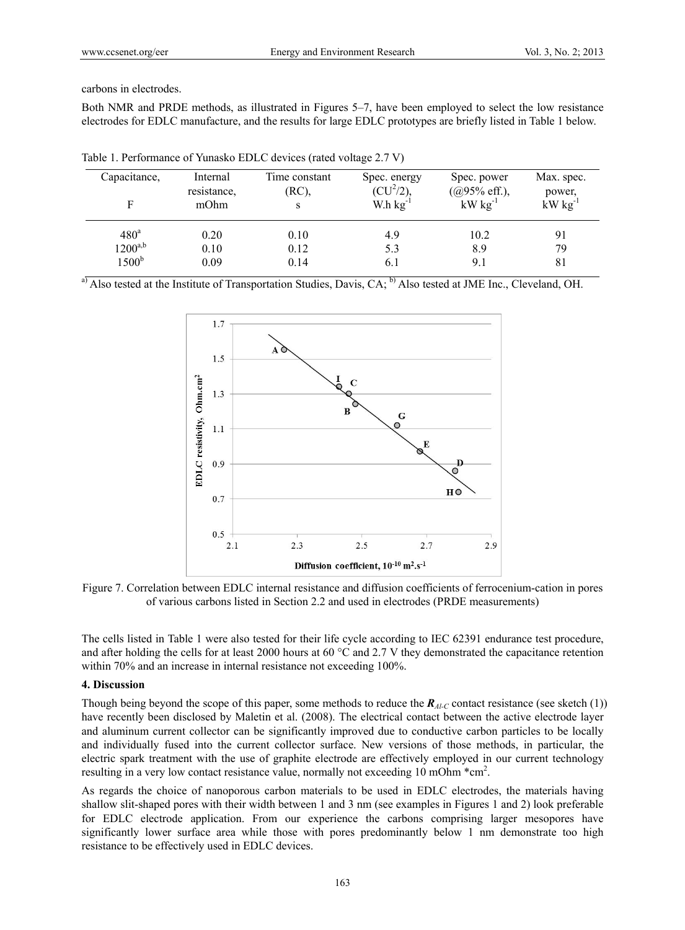carbons in electrodes.

Both NMR and PRDE methods, as illustrated in Figures 5–7, have been employed to select the low resistance electrodes for EDLC manufacture, and the results for large EDLC prototypes are briefly listed in Table 1 below.

| Capacitance,<br>Е | Internal<br>resistance,<br>mOhm | Time constant<br>(RC),<br>S | Spec. energy<br>$(CU^2/2),$<br>W.h $kg^{-1}$ | Spec. power<br>$(Q95\% \text{ eff.}),$<br>$kW$ $kg^{-1}$ | Max. spec.<br>power,<br>$kW kg^{-1}$ |
|-------------------|---------------------------------|-----------------------------|----------------------------------------------|----------------------------------------------------------|--------------------------------------|
| 480 <sup>a</sup>  | 0.20                            | 0.10                        | 4.9                                          | 10.2                                                     | 91                                   |
| $1200^{a,b}$      | 0.10                            | 0.12                        | 5.3                                          | 8.9                                                      | 79                                   |
| 1500 <sup>b</sup> | 0.09                            | 0.14                        | 6.1                                          | 9.1                                                      | 81                                   |

Table 1. Performance of Yunasko EDLC devices (rated voltage 2.7 V)

<sup>a)</sup> Also tested at the Institute of Transportation Studies, Davis, CA; <sup>b)</sup> Also tested at JME Inc., Cleveland, OH.



Figure 7. Correlation between EDLC internal resistance and diffusion coefficients of ferrocenium-cation in pores of various carbons listed in Section 2.2 and used in electrodes (PRDE measurements)

The cells listed in Table 1 were also tested for their life cycle according to IEC 62391 endurance test procedure, and after holding the cells for at least 2000 hours at 60  $^{\circ}$ C and 2.7 V they demonstrated the capacitance retention within 70% and an increase in internal resistance not exceeding 100%.

## **4. Discussion**

Though being beyond the scope of this paper, some methods to reduce the *RAl-C* contact resistance (see sketch (1)) have recently been disclosed by Maletin et al. (2008). The electrical contact between the active electrode layer and aluminum current collector can be significantly improved due to conductive carbon particles to be locally and individually fused into the current collector surface. New versions of those methods, in particular, the electric spark treatment with the use of graphite electrode are effectively employed in our current technology resulting in a very low contact resistance value, normally not exceeding 10 mOhm  $*$ cm<sup>2</sup>.

As regards the choice of nanoporous carbon materials to be used in EDLC electrodes, the materials having shallow slit-shaped pores with their width between 1 and 3 nm (see examples in Figures 1 and 2) look preferable for EDLC electrode application. From our experience the carbons comprising larger mesopores have significantly lower surface area while those with pores predominantly below 1 nm demonstrate too high resistance to be effectively used in EDLC devices.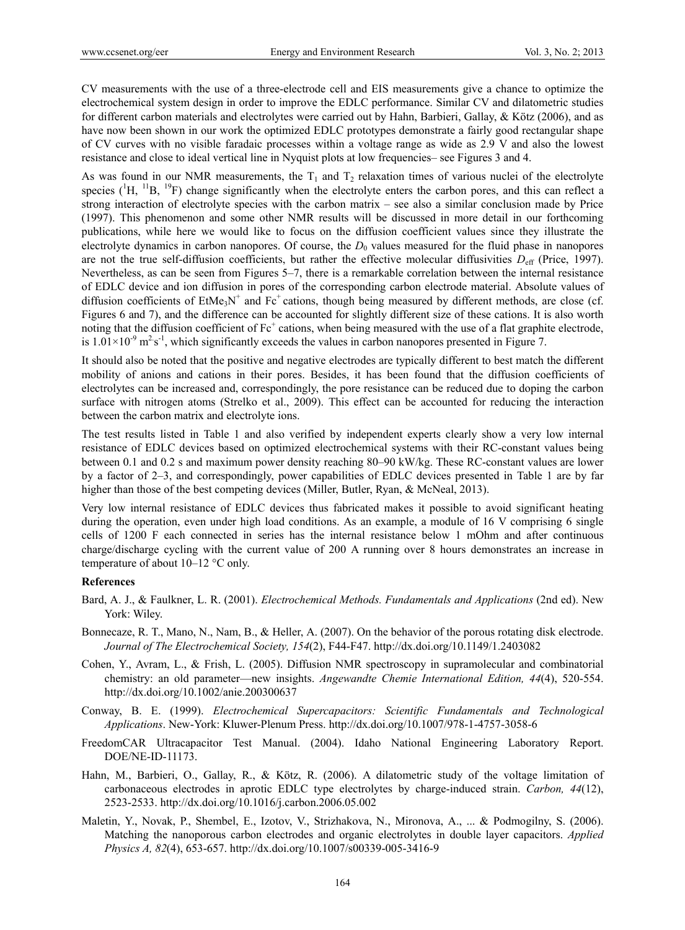CV measurements with the use of a three-electrode cell and EIS measurements give a chance to optimize the electrochemical system design in order to improve the EDLC performance. Similar CV and dilatometric studies for different carbon materials and electrolytes were carried out by Hahn, Barbieri, Gallay, & Kötz (2006), and as have now been shown in our work the optimized EDLC prototypes demonstrate a fairly good rectangular shape of CV curves with no visible faradaic processes within a voltage range as wide as 2.9 V and also the lowest resistance and close to ideal vertical line in Nyquist plots at low frequencies– see Figures 3 and 4.

As was found in our NMR measurements, the  $T_1$  and  $T_2$  relaxation times of various nuclei of the electrolyte species  $({}^1H, {}^{11}B, {}^{19}F)$  change significantly when the electrolyte enters the carbon pores, and this can reflect a strong interaction of electrolyte species with the carbon matrix – see also a similar conclusion made by Price (1997). This phenomenon and some other NMR results will be discussed in more detail in our forthcoming publications, while here we would like to focus on the diffusion coefficient values since they illustrate the electrolyte dynamics in carbon nanopores. Of course, the  $D<sub>0</sub>$  values measured for the fluid phase in nanopores are not the true self-diffusion coefficients, but rather the effective molecular diffusivities  $D_{\text{eff}}$  (Price, 1997). Nevertheless, as can be seen from Figures 5–7, there is a remarkable correlation between the internal resistance of EDLC device and ion diffusion in pores of the corresponding carbon electrode material. Absolute values of diffusion coefficients of  $EtMe<sub>3</sub>N<sup>+</sup>$  and  $Fc<sup>+</sup>$  cations, though being measured by different methods, are close (cf. Figures 6 and 7), and the difference can be accounted for slightly different size of these cations. It is also worth noting that the diffusion coefficient of  $Fc^+$  cations, when being measured with the use of a flat graphite electrode, is  $1.01 \times 10^{-9}$  m<sup>2</sup> s<sup>-1</sup>, which significantly exceeds the values in carbon nanopores presented in Figure 7.

It should also be noted that the positive and negative electrodes are typically different to best match the different mobility of anions and cations in their pores. Besides, it has been found that the diffusion coefficients of electrolytes can be increased and, correspondingly, the pore resistance can be reduced due to doping the carbon surface with nitrogen atoms (Strelko et al., 2009). This effect can be accounted for reducing the interaction between the carbon matrix and electrolyte ions.

The test results listed in Table 1 and also verified by independent experts clearly show a very low internal resistance of EDLC devices based on optimized electrochemical systems with their RC-constant values being between 0.1 and 0.2 s and maximum power density reaching 80–90 kW/kg. These RC-constant values are lower by a factor of 2–3, and correspondingly, power capabilities of EDLC devices presented in Table 1 are by far higher than those of the best competing devices (Miller, Butler, Ryan, & McNeal, 2013).

Very low internal resistance of EDLC devices thus fabricated makes it possible to avoid significant heating during the operation, even under high load conditions. As an example, a module of 16 V comprising 6 single cells of 1200 F each connected in series has the internal resistance below 1 mOhm and after continuous charge/discharge cycling with the current value of 200 A running over 8 hours demonstrates an increase in temperature of about 10–12 °C only.

#### **References**

- Bard, A. J., & Faulkner, L. R. (2001). *Electrochemical Methods. Fundamentals and Applications* (2nd ed). New York: Wiley.
- Bonnecaze, R. T., Mano, N., Nam, B., & Heller, A. (2007). On the behavior of the porous rotating disk electrode. *Journal of The Electrochemical Society, 154*(2), F44-F47. http://dx.doi.org/10.1149/1.2403082
- Cohen, Y., Avram, L., & Frish, L. (2005). Diffusion NMR spectroscopy in supramolecular and combinatorial chemistry: an old parameter—new insights. *Angewandte Chemie International Edition, 44*(4), 520-554. http://dx.doi.org/10.1002/anie.200300637
- Conway, B. E. (1999). *Electrochemical Supercapacitors: Scientific Fundamentals and Technological Applications*. New-York: Kluwer-Plenum Press. http://dx.doi.org/10.1007/978-1-4757-3058-6
- FreedomCAR Ultracapacitor Test Manual. (2004). Idaho National Engineering Laboratory Report. DOE/NE-ID-11173.
- Hahn, M., Barbieri, O., Gallay, R., & Kötz, R. (2006). A dilatometric study of the voltage limitation of carbonaceous electrodes in aprotic EDLC type electrolytes by charge-induced strain. *Carbon, 44*(12), 2523-2533. http://dx.doi.org/10.1016/j.carbon.2006.05.002
- Maletin, Y., Novak, P., Shembel, E., Izotov, V., Strizhakova, N., Mironova, A., ... & Podmogilny, S. (2006). Matching the nanoporous carbon electrodes and organic electrolytes in double layer capacitors. *Applied Physics A, 82*(4), 653-657. http://dx.doi.org/10.1007/s00339-005-3416-9